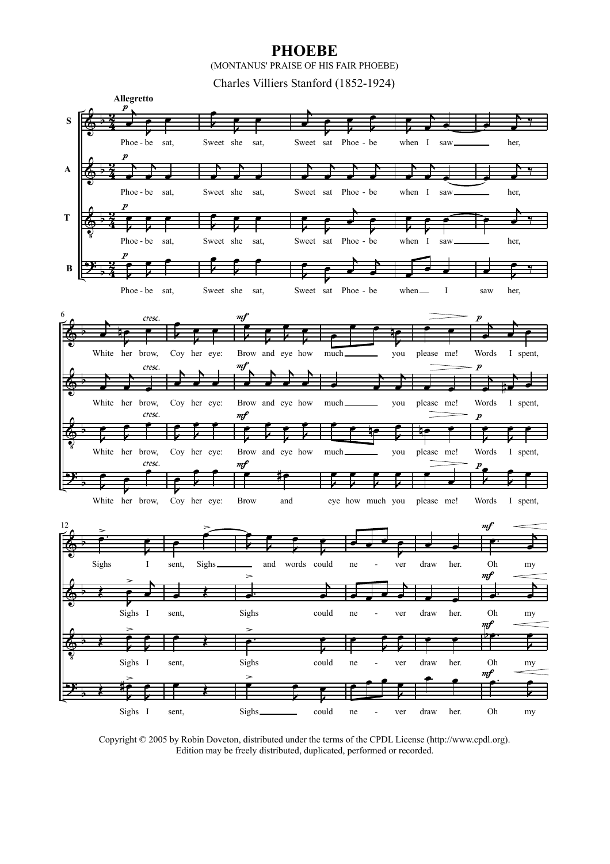## **PHOEBE**

(MONTANUS' PRAISE OF HIS FAIR PHOEBE)

Charles Villiers Stanford (1852-1924)



Copyright © 2005 by Robin Doveton, distributed under the terms of the CPDL License (http://www.cpdl.org). Edition may be freely distributed, duplicated, performed or recorded.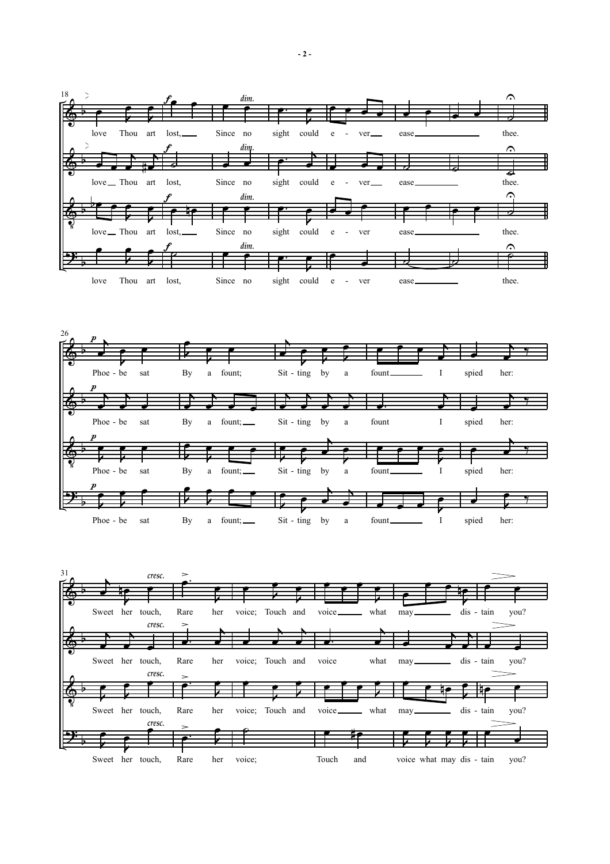



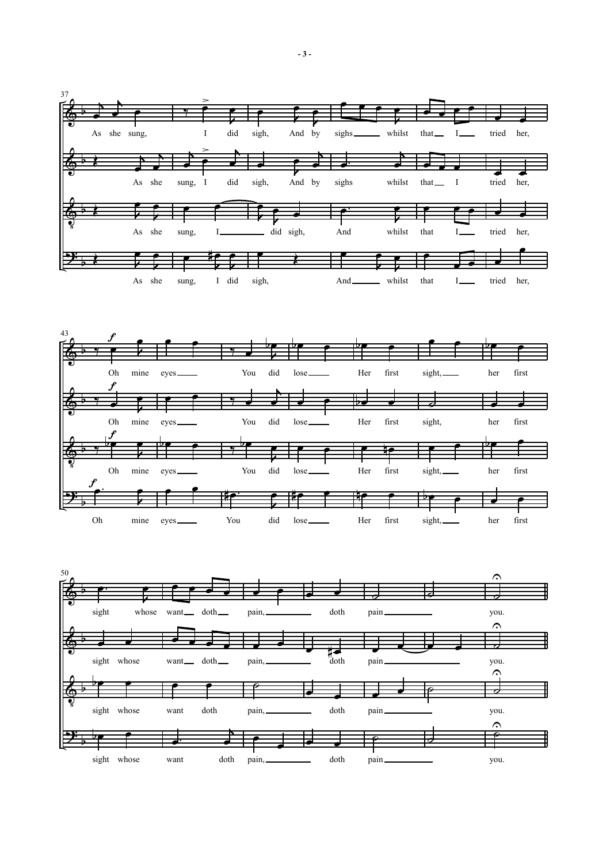



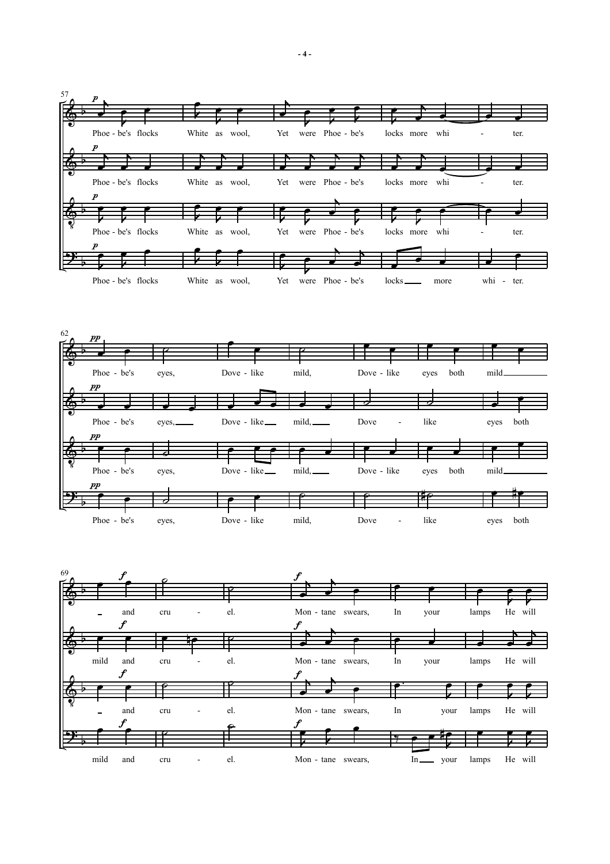